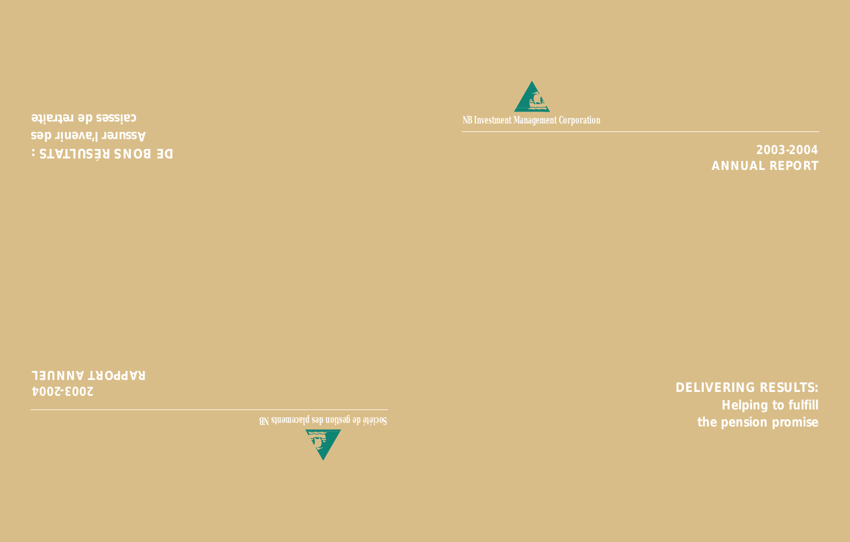

*2003-2004 ANNUAL REPORT*

*DELIVERING RESULTS: Helping to fulfill the pension promise*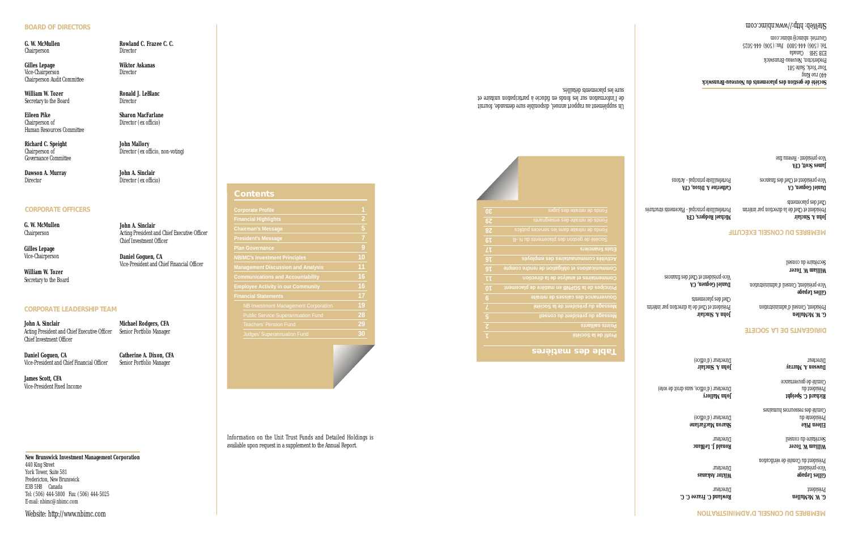#### **BOARD OF DIRECTORS**

Chairperson

**Gilles Lepage Wiktor Askanas**<br>
Vice-Chairperson<br>
Director Vice-Chairperson Chairperson Audit Committee

**William W. Tozer Ronald J. LeBlanc**<br>
Secretary to the Board<br> **Example 20** Director Secretary to the Board

**Eileen Pike Sharon MacFarlane** Chairperson of Director (ex officio) Human Resources Committee

**Richard C. Speight 50 John Mallory** Governance Committee

**Dawson A. Murray John A. Sinclair** Director Director (ex officio)

#### **CORPORATE OFFICERS**

**G. W. McMullen** Chairperson

**Gilles Lepage** Vice-Chairperson

**William W. Tozer** Secretary to the Board

#### **CORPORATE LEADERSHIP TEAM**

**John A. Sinclair Michael Rodgers, CFA** Acting President and Chief Executive Officer Senior Portfolio Manager Chief Investment Officer

**Daniel Goguen, CA Catherine A. Dixon, CFA** Vice-President and Chief Financial Officer Senior Portfolio Manager

**James Scott, CFA** Vice-President Fixed Income

**New Brunswick Investment Management Corporation** 440 King Street York Tower, Suite 581 Fredericton, New Brunswick E3B 5H8 Canada Tel: (506) 444-5800 Fax: (506) 444-5025 E-mail: nbimc@nbimc.com

Website: http://www.nbimc.com

**G. W. McMullen C. Example Rowland C. Frazee C. C.**<br>Chairperson **Rowland C. Example 20** 

Chairperson of Director (ex officio, non-voting)

Acting President and Chief Executive Officer

Vice-President and Chief Financial Officer

**John A. Sinclair**

Chief Investment Officer

**Daniel Goguen, CA**

#### **Contents**

| <b>Corporate Profile</b>                    | 1              |
|---------------------------------------------|----------------|
| <b>Financial Highlights</b>                 | $\overline{2}$ |
| <b>Chairman's Message</b>                   | 5              |
| <b>President's Message</b>                  | 7              |
| <b>Plan Governance</b>                      | 9              |
| <b>NBIMC's Investment Principles</b>        | 10             |
| <b>Management Discussion and Analysis</b>   | 11             |
| <b>Communications and Accountability</b>    | 16             |
| <b>Employee Activity in our Community</b>   | 16             |
| <b>Financial Statements</b>                 | 17             |
| <b>NB Investment Management Corporation</b> | 19             |
| <b>Public Service Superannuation Fund</b>   | 28             |
| <b>Teachers' Pension Fund</b>               | 29             |
| <b>Judges' Superannuation Fund</b>          | 30             |

Information on the Unit Trust Funds and Detailed Holdings is available upon request in a supplement to the Annual Report.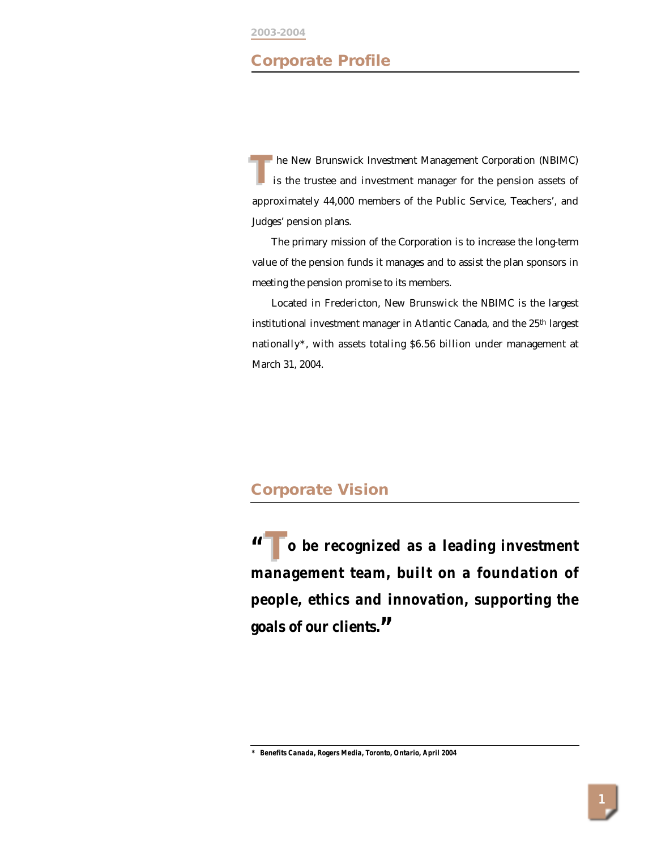# **Corporate Profile**

**The New Brunswick Investment Management Corporation (NBIMC)** is the trustee and investment manager for the pension assets of approximately 44,000 members of the Public Service, Teachers', and Judges' pension plans. **T**

The primary mission of the Corporation is to increase the long-term value of the pension funds it manages and to assist the plan sponsors in meeting the pension promise to its members.

Located in Fredericton, New Brunswick the NBIMC is the largest institutional investment manager in Atlantic Canada, and the 25<sup>th</sup> largest nationally\*, with assets totaling \$6.56 billion under management at March 31, 2004.

# **Corporate Vision**

**" o be recognized as a leading investment T management team, built on a foundation of people, ethics and innovation, supporting the goals of our clients."**

*\* Benefits Canada, Rogers Media, Toronto, Ontario, April 2004*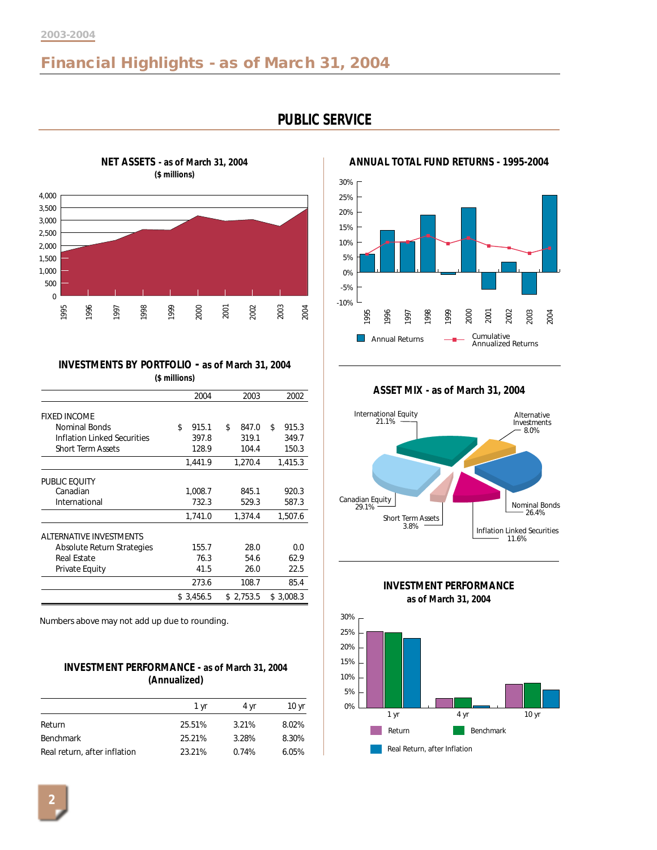# **Financial Highlights - as of March 31, 2004**



# **PUBLIC SERVICE**

**ANNUAL TOTAL FUND RETURNS - 1995-2004**



**ASSET MIX - as of March 31, 2004**



**INVESTMENT PERFORMANCE as of March 31, 2004**



**INVESTMENTS BY PORTFOLIO - as of March 31, 2004 (\$ millions)**

|                                    | 2004        | 2003        | 2002        |
|------------------------------------|-------------|-------------|-------------|
| <b>FIXED INCOME</b>                |             |             |             |
| Nominal Bonds                      | \$<br>915.1 | \$<br>847.0 | 915.3<br>\$ |
| <b>Inflation Linked Securities</b> | 397.8       | 319.1       | 349.7       |
| <b>Short Term Assets</b>           | 128.9       | 104.4       | 150.3       |
|                                    | 1,441.9     | 1,270.4     | 1,415.3     |
| PUBLIC EQUITY                      |             |             |             |
| Canadian                           | 1,008.7     | 845.1       | 920.3       |
| International                      | 732.3       | 529.3       | 587.3       |
|                                    | 1,741.0     | 1,374.4     | 1,507.6     |
| ALTERNATIVE INVESTMENTS            |             |             |             |
| Absolute Return Strategies         | 155.7       | 28.0        | 0.0         |
| <b>Real Estate</b>                 | 76.3        | 54.6        | 62.9        |
| Private Equity                     | 41.5        | 26.0        | 22.5        |
|                                    | 273.6       | 108.7       | 85.4        |
|                                    | \$3,456.5   | \$2.753.5   | \$3.008.3   |

Numbers above may not add up due to rounding.

### **INVESTMENT PERFORMANCE - as of March 31, 2004 (Annualized)**

|                              | 1 vr   | 4 vr  | 10 <sub>yr</sub> |
|------------------------------|--------|-------|------------------|
| Return                       | 25.51% | 3.21% | 8.02%            |
| <b>Benchmark</b>             | 25.21% | 3.28% | 8.30%            |
| Real return, after inflation | 23.21% | 0.74% | 6.05%            |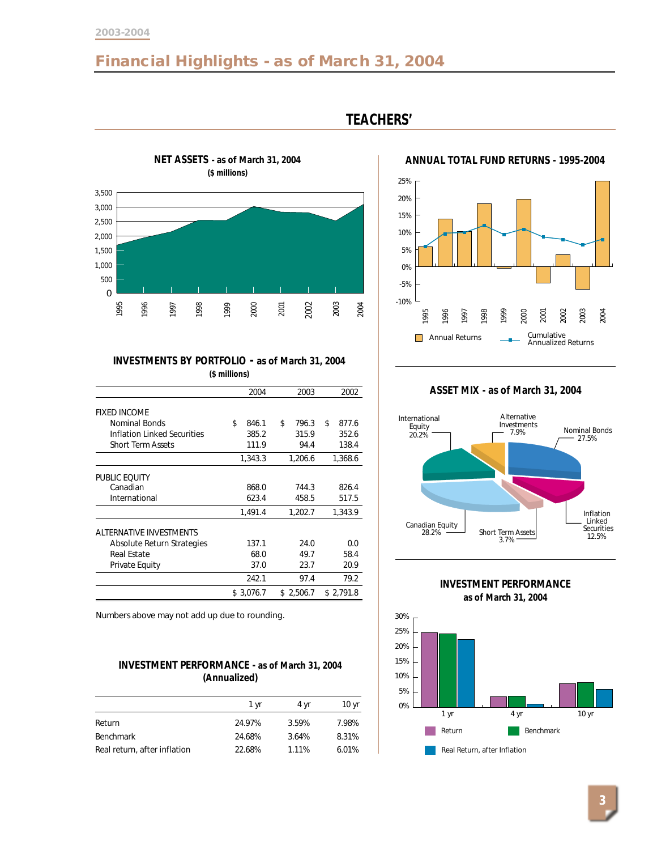#### **2003-2004**

# **Financial Highlights - as of March 31, 2004**



# **TEACHERS'**



### **INVESTMENTS BY PORTFOLIO - as of March 31, 2004 (\$ millions)**

|                                | 2004        | 2003        | 2002        |
|--------------------------------|-------------|-------------|-------------|
| <b>FIXED INCOME</b>            |             |             |             |
| Nominal Bonds                  | \$<br>846.1 | \$<br>796.3 | \$<br>877.6 |
| Inflation Linked Securities    | 385.2       | 315.9       | 352.6       |
| <b>Short Term Assets</b>       | 111.9       | 94.4        | 138.4       |
|                                | 1,343.3     | 1,206.6     | 1,368.6     |
|                                |             |             |             |
| PUBLIC EQUITY                  |             |             |             |
| Canadian                       | 868.0       | 744.3       | 826.4       |
| International                  | 623.4       | 458.5       | 517.5       |
|                                | 1,491.4     | 1,202.7     | 1,343.9     |
| <b>ALTERNATIVE INVESTMENTS</b> |             |             |             |
| Absolute Return Strategies     | 137.1       | 24.0        | 0.0         |
| Real Estate                    | 68.0        | 49.7        | 58.4        |
| Private Equity                 | 37.0        | 23.7        | 20.9        |
|                                | 242.1       | 97.4        | 79.2        |
|                                | \$3,076.7   | \$2,506.7   | \$2,791.8   |

Numbers above may not add up due to rounding.

### **INVESTMENT PERFORMANCE - as of March 31, 2004 (Annualized)**

|                              | 1 vr   | 4 vr  | 10 vr |
|------------------------------|--------|-------|-------|
| Return                       | 24.97% | 3.59% | 7.98% |
| <b>Benchmark</b>             | 24.68% | 3.64% | 8.31% |
| Real return, after inflation | 22.68% | 1.11% | 6.01% |

#### **ASSET MIX - as of March 31, 2004**



**INVESTMENT PERFORMANCE as of March 31, 2004** Return **Benchmark** 0% 5% 10% 15% 20% 25% 30% 1 yr 4 yr 10 yr



# **3**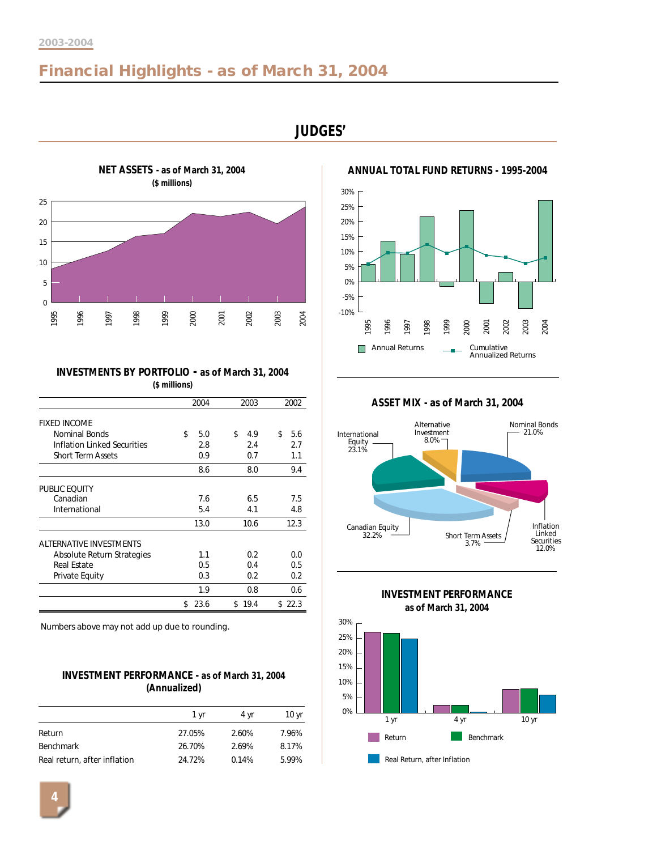# **Financial Highlights - as of March 31, 2004**

**JUDGES'**



**INVESTMENTS BY PORTFOLIO - as of March 31, 2004 (\$ millions)**

|                             | 2004       | 2003      | 2002      |
|-----------------------------|------------|-----------|-----------|
| <b>FIXED INCOME</b>         |            |           |           |
| Nominal Bonds               | \$<br>5.0  | \$<br>4.9 | 5.6<br>\$ |
| Inflation Linked Securities | 2.8        | 2.4       | 2.7       |
| <b>Short Term Assets</b>    | 0.9        | 0.7       | 1.1       |
|                             | 8.6        | 8.0       | 9.4       |
| PUBLIC EQUITY               |            |           |           |
| Canadian                    | 7.6        | 6.5       | 7.5       |
| International               | 5.4        | 4.1       | 4.8       |
|                             | 13.0       | 10.6      | 12.3      |
| ALTERNATIVE INVESTMENTS     |            |           |           |
| Absolute Return Strategies  | 1.1        | 0.2       | 0.0       |
| <b>Real Estate</b>          | 0.5        | 0.4       | 0.5       |
| <b>Private Equity</b>       | 0.3        | 0.2       | 0.2       |
|                             | 1.9        | 0.8       | 0.6       |
|                             | 23.6<br>\$ | \$19.4    | \$22.3    |

Numbers above may not add up due to rounding.

### **INVESTMENT PERFORMANCE - as of March 31, 2004 (Annualized)**

|                              | 1 vr   | 4 vr  | 10 yr |
|------------------------------|--------|-------|-------|
| Return                       | 27.05% | 2.60% | 7.96% |
| <b>Benchmark</b>             | 26.70% | 2.69% | 8.17% |
| Real return, after inflation | 24.72% | 0.14% | 5.99% |



**ANNUAL TOTAL FUND RETURNS - 1995-2004**



**ASSET MIX - as of March 31, 2004**



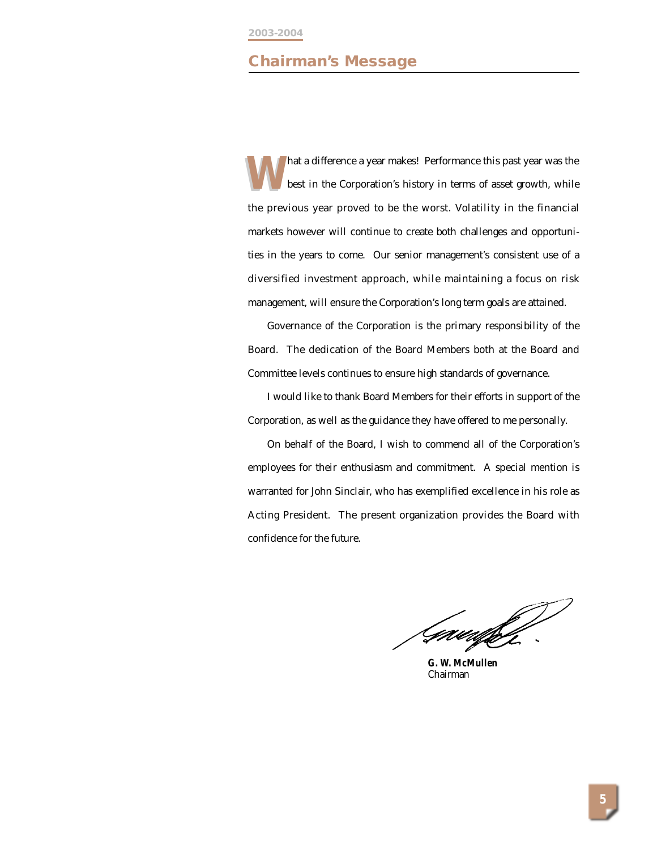# **Chairman's Message**

hat a difference a year makes! Performance this past year was the best in the Corporation's history in terms of asset growth, while the previous year proved to be the worst. Volatility in the financial markets however will continue to create both challenges and opportunities in the years to come. Our senior management's consistent use of a diversified investment approach, while maintaining a focus on risk management, will ensure the Corporation's long term goals are attained. **W**

Governance of the Corporation is the primary responsibility of the Board. The dedication of the Board Members both at the Board and Committee levels continues to ensure high standards of governance.

I would like to thank Board Members for their efforts in support of the Corporation, as well as the guidance they have offered to me personally.

On behalf of the Board, I wish to commend all of the Corporation's employees for their enthusiasm and commitment. A special mention is warranted for John Sinclair, who has exemplified excellence in his role as Acting President. The present organization provides the Board with confidence for the future.

Gauuffo

**G. W. McMullen** Chairman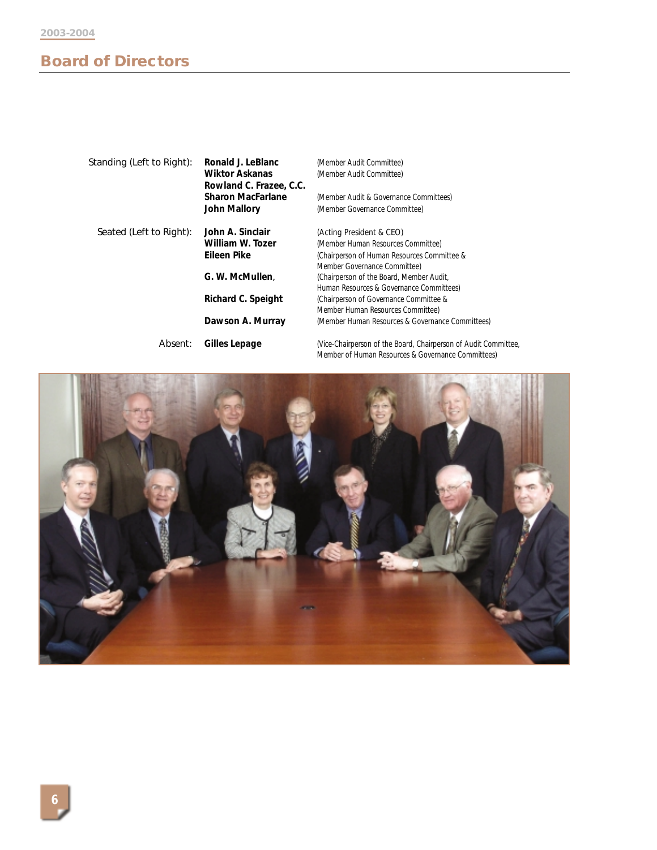# **Board of Directors**

| Standing (Left to Right): | Ronald J. LeBlanc<br><b>Wiktor Askanas</b><br>Rowland C. Frazee, C.C. | (Member Audit Committee)<br>(Member Audit Committee)                                                                  |
|---------------------------|-----------------------------------------------------------------------|-----------------------------------------------------------------------------------------------------------------------|
|                           | <b>Sharon MacFarlane</b>                                              | (Member Audit & Governance Committees)                                                                                |
|                           | <b>John Mallory</b>                                                   | (Member Governance Committee)                                                                                         |
| Seated (Left to Right):   | John A. Sinclair                                                      | (Acting President & CEO)                                                                                              |
|                           | William W. Tozer                                                      | (Member Human Resources Committee)                                                                                    |
|                           | Eileen Pike                                                           | (Chairperson of Human Resources Committee &                                                                           |
|                           |                                                                       | Member Governance Committee)                                                                                          |
|                           | G. W. McMullen.                                                       | (Chairperson of the Board, Member Audit,                                                                              |
|                           |                                                                       | Human Resources & Governance Committees)                                                                              |
|                           | Richard C. Speight                                                    | (Chairperson of Governance Committee &                                                                                |
|                           |                                                                       | Member Human Resources Committee)                                                                                     |
|                           | Dawson A. Murray                                                      | (Member Human Resources & Governance Committees)                                                                      |
| Absent:                   | Gilles Lepage                                                         | (Vice-Chairperson of the Board, Chairperson of Audit Committee,<br>Member of Human Resources & Governance Committees) |

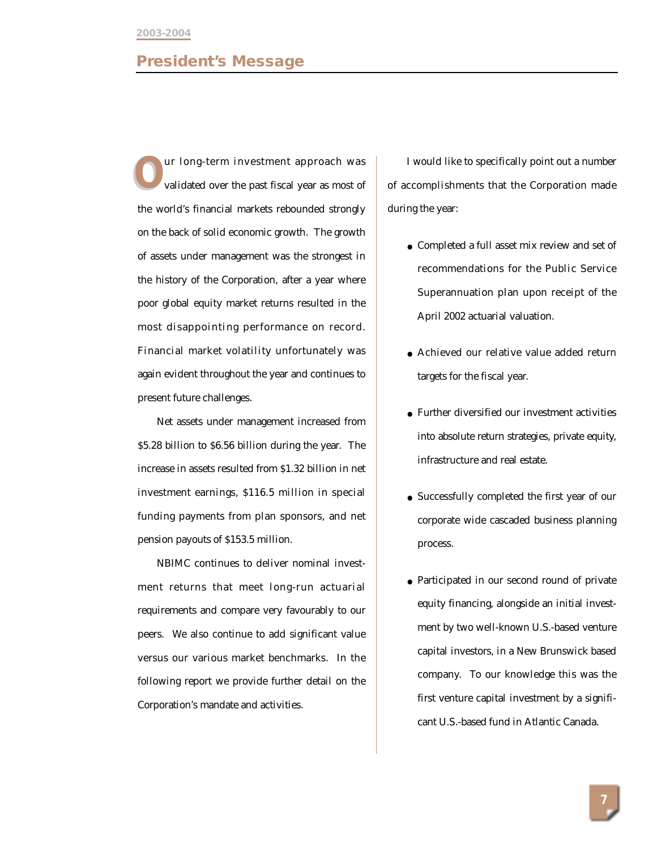### **President's Message**

ur long-term investment approach was validated over the past fiscal year as most of the world's financial markets rebounded strongly on the back of solid economic growth. The growth of assets under management was the strongest in the history of the Corporation, after a year where poor global equity market returns resulted in the most disappointing performance on record. Financial market volatility unfortunately was again evident throughout the year and continues to present future challenges. Twould like to specifically point out a number<br>
validated over the past fiscal year as most of of accomplishments that the Corporation made

Net assets under management increased from \$5.28 billion to \$6.56 billion during the year. The increase in assets resulted from \$1.32 billion in net investment earnings, \$116.5 million in special funding payments from plan sponsors, and net pension payouts of \$153.5 million.

NBIMC continues to deliver nominal investment returns that meet long-run actuarial requirements and compare very favourably to our peers. We also continue to add significant value versus our various market benchmarks. In the following report we provide further detail on the Corporation's mandate and activities.

during the year:

- Completed a full asset mix review and set of recommendations for the Public Service Superannuation plan upon receipt of the April 2002 actuarial valuation.
- Achieved our relative value added return targets for the fiscal year.
- Further diversified our investment activities into absolute return strategies, private equity, infrastructure and real estate.
- Successfully completed the first year of our corporate wide cascaded business planning process.
- Participated in our second round of private equity financing, alongside an initial investment by two well-known U.S.-based venture capital investors, in a New Brunswick based company. To our knowledge this was the first venture capital investment by a significant U.S.-based fund in Atlantic Canada.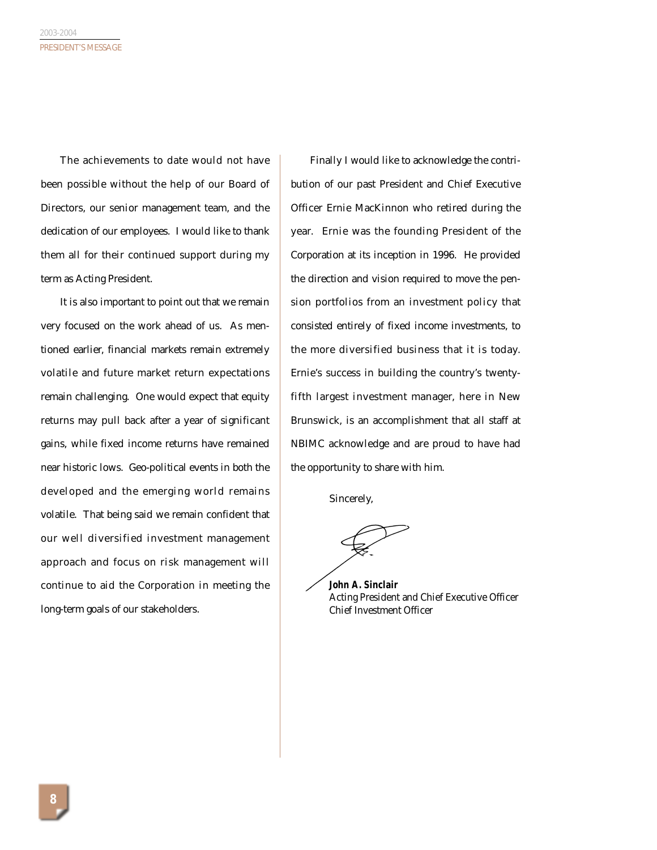The achievements to date would not have been possible without the help of our Board of Directors, our senior management team, and the dedication of our employees. I would like to thank them all for their continued support during my term as Acting President.

It is also important to point out that we remain very focused on the work ahead of us. As mentioned earlier, financial markets remain extremely volatile and future market return expectations remain challenging. One would expect that equity returns may pull back after a year of significant gains, while fixed income returns have remained near historic lows. Geo-political events in both the developed and the emerging world remains volatile. That being said we remain confident that our well diversified investment management approach and focus on risk management will continue to aid the Corporation in meeting the long-term goals of our stakeholders.

Finally I would like to acknowledge the contribution of our past President and Chief Executive Officer Ernie MacKinnon who retired during the year. Ernie was the founding President of the Corporation at its inception in 1996. He provided the direction and vision required to move the pension portfolios from an investment policy that consisted entirely of fixed income investments, to the more diversified business that it is today. Ernie's success in building the country's twentyfifth largest investment manager, here in New Brunswick, is an accomplishment that all staff at NBIMC acknowledge and are proud to have had the opportunity to share with him.

Sincerely,

**John A. Sinclair** Acting President and Chief Executive Officer Chief Investment Officer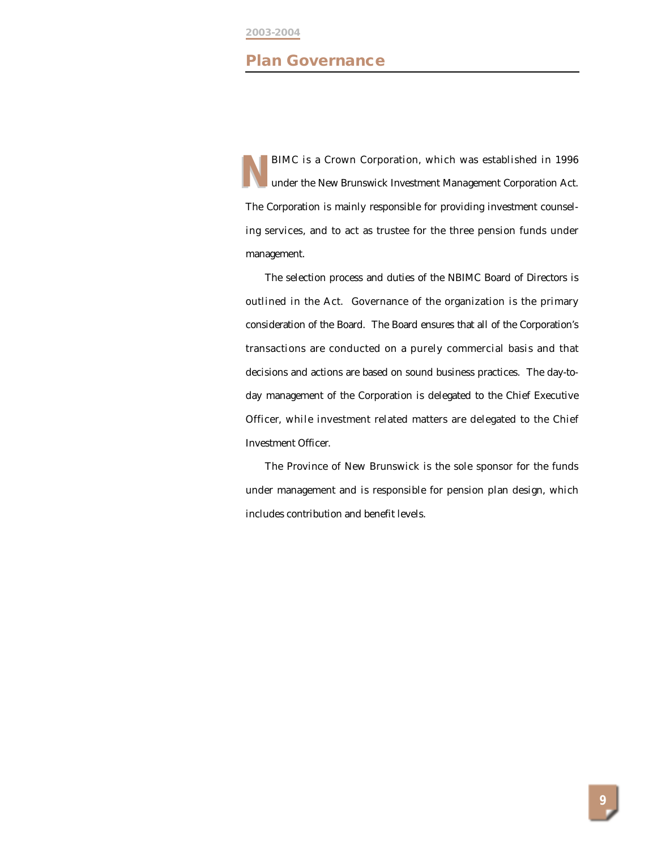#### **2003-2004**

### **Plan Governance**

BIMC is a Crown Corporation, which was established in 1996 under the *New Brunswick Investment Management Corporation Act*. The Corporation is mainly responsible for providing investment counseling services, and to act as trustee for the three pension funds under management. **N**

The selection process and duties of the NBIMC Board of Directors is outlined in the Act. Governance of the organization is the primary consideration of the Board. The Board ensures that all of the Corporation's transactions are conducted on a purely commercial basis and that decisions and actions are based on sound business practices. The day-today management of the Corporation is delegated to the Chief Executive Officer, while investment related matters are delegated to the Chief Investment Officer.

The Province of New Brunswick is the sole sponsor for the funds under management and is responsible for pension plan design, which includes contribution and benefit levels.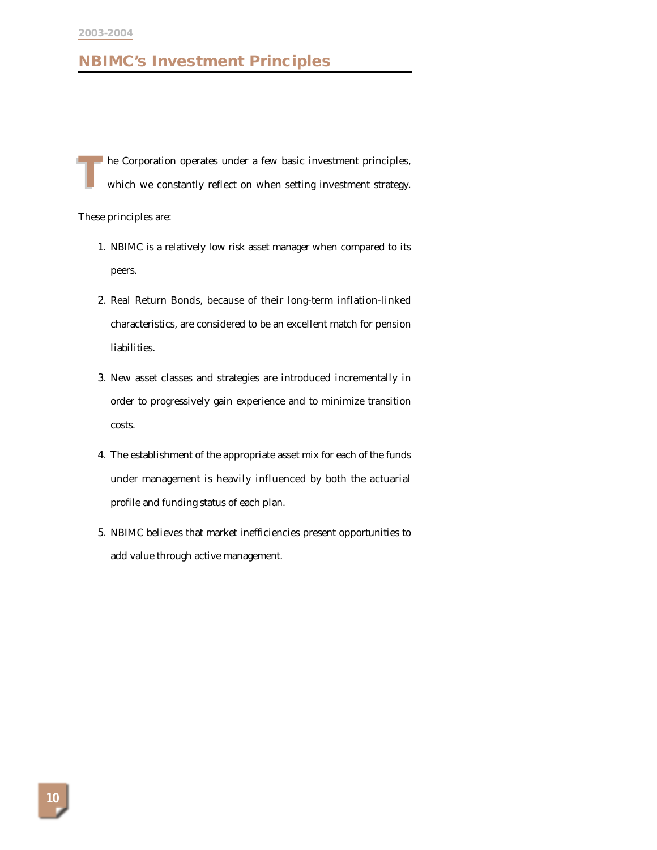# **NBIMC's Investment Principles**

he Corporation operates under a few basic investment principles, which we constantly reflect on when setting investment strategy. **T**

These principles are:

- 1. NBIMC is a relatively low risk asset manager when compared to its peers.
- 2. Real Return Bonds, because of their long-term inflation-linked characteristics, are considered to be an excellent match for pension liabilities.
- 3. New asset classes and strategies are introduced incrementally in order to progressively gain experience and to minimize transition costs.
- 4. The establishment of the appropriate asset mix for each of the funds under management is heavily influenced by both the actuarial profile and funding status of each plan.
- 5. NBIMC believes that market inefficiencies present opportunities to add value through active management.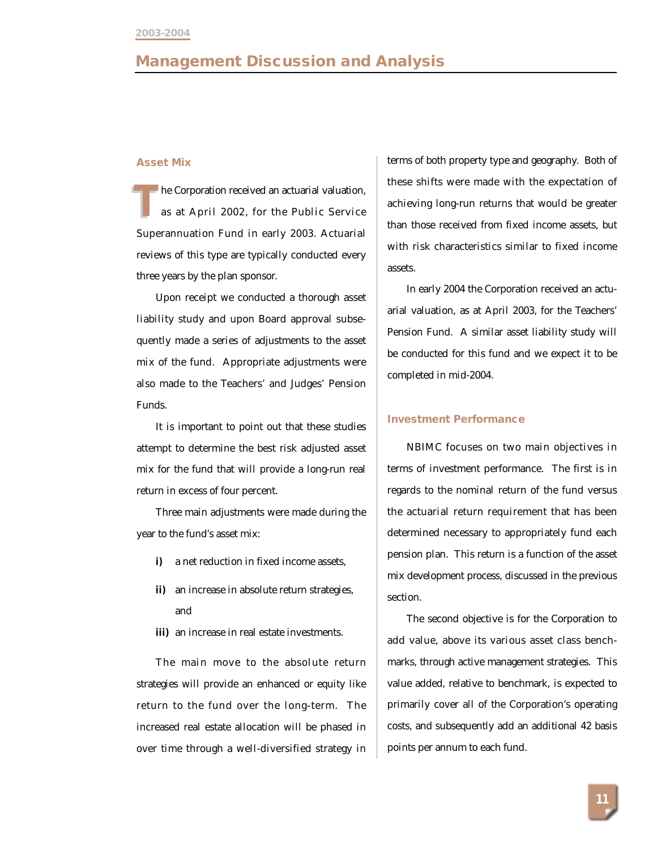### **Management Discussion and Analysis**

#### **Asset Mix**

he Corporation received an actuarial valuation, as at April 2002, for the Public Service Superannuation Fund in early 2003. Actuarial reviews of this type are typically conducted every three years by the plan sponsor. **T**

Upon receipt we conducted a thorough asset liability study and upon Board approval subsequently made a series of adjustments to the asset mix of the fund. Appropriate adjustments were also made to the Teachers' and Judges' Pension Funds.

It is important to point out that these studies attempt to determine the best risk adjusted asset mix for the fund that will provide a long-run real return in excess of four percent.

Three main adjustments were made during the year to the fund's asset mix:

- **i)** a net reduction in fixed income assets,
- **ii)** an increase in absolute return strategies, and
- **iii)** an increase in real estate investments.

The main move to the absolute return strategies will provide an enhanced or equity like return to the fund over the long-term. The increased real estate allocation will be phased in over time through a well-diversified strategy in terms of both property type and geography. Both of these shifts were made with the expectation of achieving long-run returns that would be greater than those received from fixed income assets, but with risk characteristics similar to fixed income assets.

In early 2004 the Corporation received an actuarial valuation, as at April 2003, for the Teachers' Pension Fund. A similar asset liability study will be conducted for this fund and we expect it to be completed in mid-2004.

#### **Investment Performance**

NBIMC focuses on two main objectives in terms of investment performance. The first is in regards to the nominal return of the fund versus the actuarial return requirement that has been determined necessary to appropriately fund each pension plan. This return is a function of the asset mix development process, discussed in the previous section.

The second objective is for the Corporation to add value, above its various asset class benchmarks, through active management strategies. This value added, relative to benchmark, is expected to primarily cover all of the Corporation's operating costs, and subsequently add an additional 42 basis points per annum to each fund.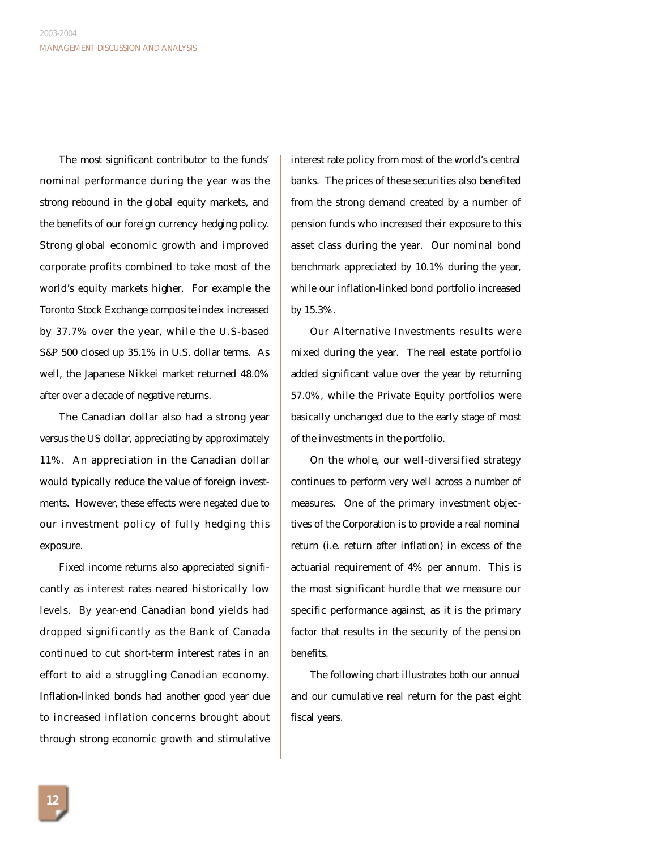The most significant contributor to the funds' nominal performance during the year was the strong rebound in the global equity markets, and the benefits of our foreign currency hedging policy. Strong global economic growth and improved corporate profits combined to take most of the world's equity markets higher. For example the Toronto Stock Exchange composite index increased by 37.7% over the year, while the U.S-based S&P 500 closed up 35.1% in U.S. dollar terms. As well, the Japanese Nikkei market returned 48.0% after over a decade of negative returns.

The Canadian dollar also had a strong year versus the US dollar, appreciating by approximately 11%. An appreciation in the Canadian dollar would typically reduce the value of foreign investments. However, these effects were negated due to our investment policy of fully hedging this exposure.

Fixed income returns also appreciated significantly as interest rates neared historically low levels. By year-end Canadian bond yields had dropped significantly as the Bank of Canada continued to cut short-term interest rates in an effort to aid a struggling Canadian economy. Inflation-linked bonds had another good year due to increased inflation concerns brought about through strong economic growth and stimulative interest rate policy from most of the world's central banks. The prices of these securities also benefited from the strong demand created by a number of pension funds who increased their exposure to this asset class during the year. Our nominal bond benchmark appreciated by 10.1% during the year, while our inflation-linked bond portfolio increased by 15.3%.

Our Alternative Investments results were mixed during the year. The real estate portfolio added significant value over the year by returning 57.0%, while the Private Equity portfolios were basically unchanged due to the early stage of most of the investments in the portfolio.

On the whole, our well-diversified strategy continues to perform very well across a number of measures. One of the primary investment objectives of the Corporation is to provide a real nominal return (i.e. return after inflation) in excess of the actuarial requirement of 4% per annum. This is the most significant hurdle that we measure our specific performance against, as it is the primary factor that results in the security of the pension benefits.

The following chart illustrates both our annual and our cumulative real return for the past eight fiscal years.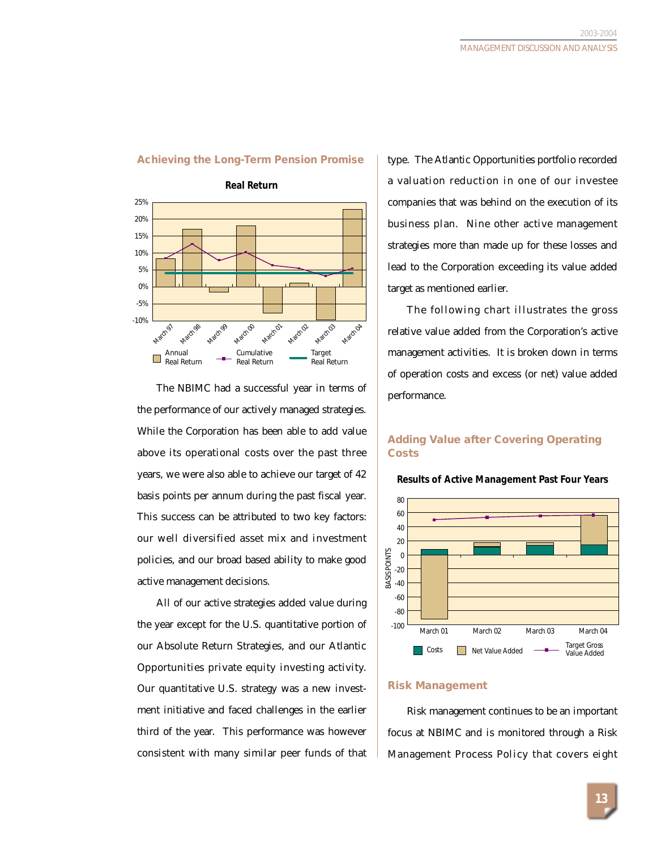

#### **Achieving the Long-Term Pension Promise**

The NBIMC had a successful year in terms of the performance of our actively managed strategies. While the Corporation has been able to add value above its operational costs over the past three years, we were also able to achieve our target of 42 basis points per annum during the past fiscal year. This success can be attributed to two key factors: our well diversified asset mix and investment policies, and our broad based ability to make good active management decisions.

All of our active strategies added value during the year except for the U.S. quantitative portion of our Absolute Return Strategies, and our Atlantic Opportunities private equity investing activity. Our quantitative U.S. strategy was a new investment initiative and faced challenges in the earlier third of the year. This performance was however consistent with many similar peer funds of that

type. The Atlantic Opportunities portfolio recorded a valuation reduction in one of our investee companies that was behind on the execution of its business plan. Nine other active management strategies more than made up for these losses and lead to the Corporation exceeding its value added target as mentioned earlier.

The following chart illustrates the gross relative value added from the Corporation's active management activities. It is broken down in terms of operation costs and excess (or net) value added performance.

### **Adding Value after Covering Operating Costs**



**Results of Active Management Past Four Years**

#### **Risk Management**

Risk management continues to be an important focus at NBIMC and is monitored through a Risk Management Process Policy that covers eight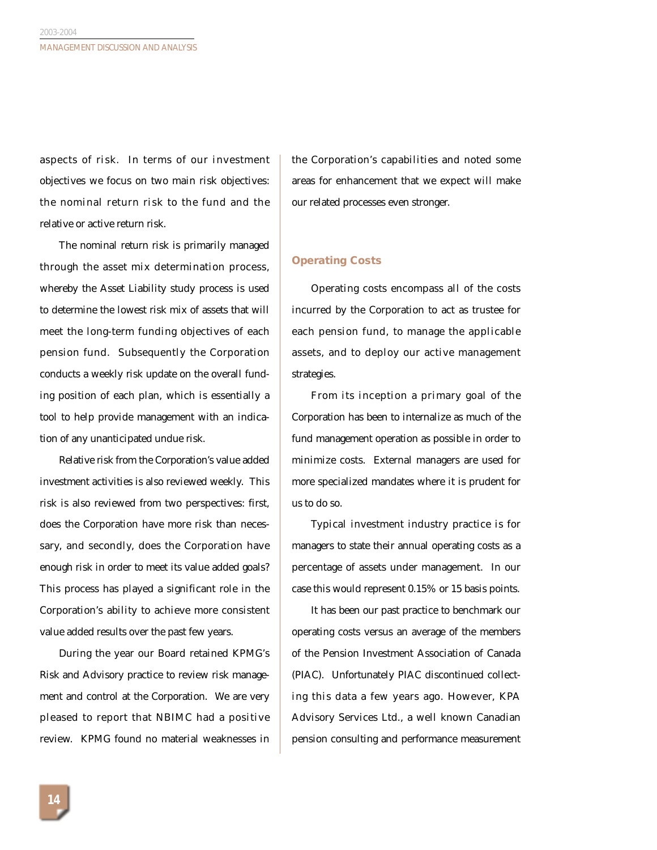aspects of risk. In terms of our investment objectives we focus on two main risk objectives: the nominal return risk to the fund and the relative or active return risk.

The nominal return risk is primarily managed through the asset mix determination process, whereby the Asset Liability study process is used to determine the lowest risk mix of assets that will meet the long-term funding objectives of each pension fund. Subsequently the Corporation conducts a weekly risk update on the overall funding position of each plan, which is essentially a tool to help provide management with an indication of any unanticipated undue risk.

Relative risk from the Corporation's value added investment activities is also reviewed weekly. This risk is also reviewed from two perspectives: first, does the Corporation have more risk than necessary, and secondly, does the Corporation have enough risk in order to meet its value added goals? This process has played a significant role in the Corporation's ability to achieve more consistent value added results over the past few years.

During the year our Board retained KPMG's Risk and Advisory practice to review risk management and control at the Corporation. We are very pleased to report that NBIMC had a positive review. KPMG found no material weaknesses in the Corporation's capabilities and noted some areas for enhancement that we expect will make our related processes even stronger.

### **Operating Costs**

Operating costs encompass all of the costs incurred by the Corporation to act as trustee for each pension fund, to manage the applicable assets, and to deploy our active management strategies.

From its inception a primary goal of the Corporation has been to internalize as much of the fund management operation as possible in order to minimize costs. External managers are used for more specialized mandates where it is prudent for us to do so.

Typical investment industry practice is for managers to state their annual operating costs as a percentage of assets under management. In our case this would represent 0.15% or 15 basis points.

It has been our past practice to benchmark our operating costs versus an average of the members of the Pension Investment Association of Canada (PIAC). Unfortunately PIAC discontinued collecting this data a few years ago. However, KPA Advisory Services Ltd., a well known Canadian pension consulting and performance measurement

**14**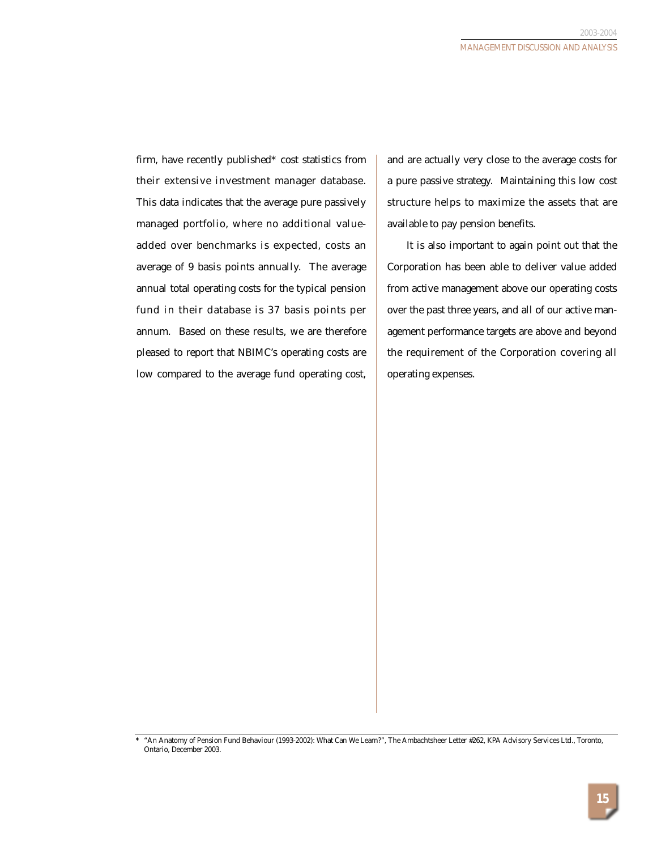firm, have recently published\* cost statistics from their extensive investment manager database. This data indicates that the average pure passively managed portfolio, where no additional valueadded over benchmarks is expected, costs an average of 9 basis points annually. The average annual total operating costs for the typical pension fund in their database is 37 basis points per annum. Based on these results, we are therefore pleased to report that NBIMC's operating costs are low compared to the average fund operating cost, and are actually very close to the average costs for a pure passive strategy. Maintaining this low cost structure helps to maximize the assets that are available to pay pension benefits.

It is also important to again point out that the Corporation has been able to deliver value added from active management above our operating costs over the past three years, and all of our active management performance targets are above and beyond the requirement of the Corporation covering all operating expenses.

*<sup>\*</sup>* "An Anatomy of Pension Fund Behaviour (1993-2002): What Can We Learn?", The Ambachtsheer Letter #262, KPA Advisory Services Ltd., Toronto, Ontario, December 2003.